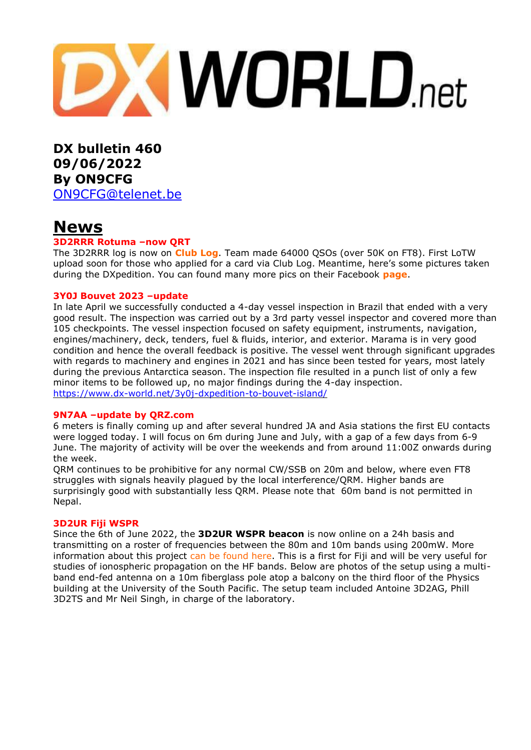# **DXWORLD.net**

**DX bulletin 460 09/06/2022 By ON9CFG** [ON9CFG@telenet.be](mailto:ON9CFG@telenet.be)

# **News**

#### **3D2RRR Rotuma –now QRT**

The 3D2RRR log is now on **[Club](https://clublog.org/charts/?c=3D2RRR#r) Log**. Team made 64000 QSOs (over 50K on FT8). First LoTW upload soon for those who applied for a card via Club Log. Meantime, here's some pictures taken during the DXpedition. You can found many more pics on their Facebook **[page](https://www.facebook.com/rebeldxgroup)**.

#### **3Y0J Bouvet 2023 –update**

In late April we successfully conducted a 4-day vessel inspection in Brazil that ended with a very good result. The inspection was carried out by a 3rd party vessel inspector and covered more than 105 checkpoints. The vessel inspection focused on safety equipment, instruments, navigation, engines/machinery, deck, tenders, fuel & fluids, interior, and exterior. Marama is in very good condition and hence the overall feedback is positive. The vessel went through significant upgrades with regards to machinery and engines in 2021 and has since been tested for years, most lately during the previous Antarctica season. The inspection file resulted in a punch list of only a few minor items to be followed up, no major findings during the 4-day inspection. <https://www.dx-world.net/3y0j-dxpedition-to-bouvet-island/>

#### **9N7AA –update by QRZ.com**

6 meters is finally coming up and after several hundred JA and Asia stations the first EU contacts were logged today. I will focus on 6m during June and July, with a gap of a few days from 6-9 June. The majority of activity will be over the weekends and from around 11:00Z onwards during the week.

QRM continues to be prohibitive for any normal CW/SSB on 20m and below, where even FT8 struggles with signals heavily plagued by the local interference/QRM. Higher bands are surprisingly good with substantially less QRM. Please note that 60m band is not permitted in Nepal.

#### **3D2UR Fiji WSPR**

Since the 6th of June 2022, the **3D2UR WSPR beacon** is now online on a 24h basis and transmitting on a roster of frequencies between the 80m and 10m bands using 200mW. More information about this project can be found here. This is a first for Fiji and will be very useful for studies of ionospheric propagation on the HF bands. Below are photos of the setup using a multiband end-fed antenna on a 10m fiberglass pole atop a balcony on the third floor of the Physics building at the University of the South Pacific. The setup team included Antoine 3D2AG, Phill 3D2TS and Mr Neil Singh, in charge of the laboratory.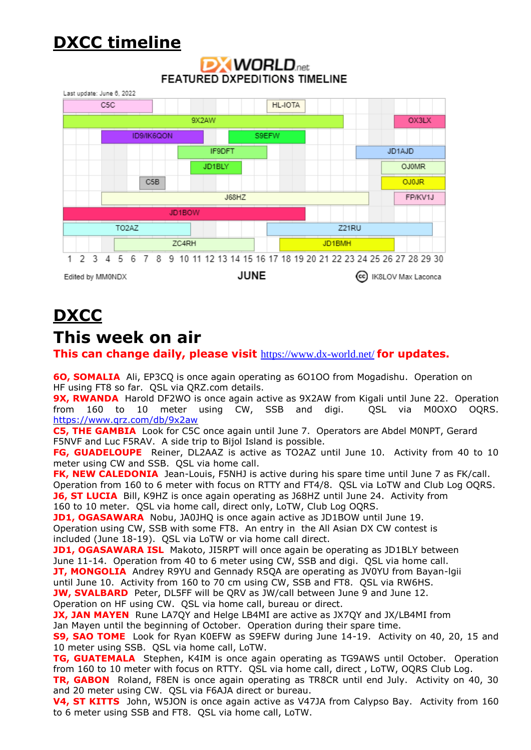# **DXCC timeline**

## **DXWORLD**<sub>net</sub> **FEATURED DXPEDITIONS TIMELINE**



# **DXCC**

## **This week on air**

**This can change daily, please visit** <https://www.dx-world.net/> **for updates.**

**6O, SOMALIA** Ali, EP3CQ is once again operating as 6O1OO from Mogadishu. Operation on HF using FT8 so far. QSL via QRZ.com details.

**9X, RWANDA** Harold DF2WO is once again active as 9X2AW from Kigali until June 22. Operation from 160 to 10 meter using CW, SSB and digi. QSL via M0OXO OQRS. <https://www.qrz.com/db/9x2aw>

**C5, THE GAMBIA** Look for C5C once again until June 7. Operators are Abdel M0NPT, Gerard F5NVF and Luc F5RAV. A side trip to Bijol Island is possible.

**FG, GUADELOUPE** Reiner, DL2AAZ is active as TO2AZ until June 10. Activity from 40 to 10 meter using CW and SSB. QSL via home call.

**FK, NEW CALEDONIA** Jean-Louis, F5NHJ is active during his spare time until June 7 as FK/call. Operation from 160 to 6 meter with focus on RTTY and FT4/8. QSL via LoTW and Club Log OQRS. **J6, ST LUCIA** Bill, K9HZ is once again operating as J68HZ until June 24. Activity from

160 to 10 meter. QSL via home call, direct only, LoTW, Club Log OQRS.

**JD1, OGASAWARA** Nobu, JA0JHQ is once again active as JD1BOW until June 19. Operation using CW, SSB with some FT8. An entry in the All Asian DX CW contest is included (June 18-19). QSL via LoTW or via home call direct.

**JD1, OGASAWARA ISL** Makoto, JI5RPT will once again be operating as JD1BLY between June 11-14. Operation from 40 to 6 meter using CW, SSB and digi. QSL via home call. **JT, MONGOLIA** Andrey R9YU and Gennady R5OA are operating as JV0YU from Bayan-lgii until June 10. Activity from 160 to 70 cm using CW, SSB and FT8. QSL via RW6HS. **JW, SVALBARD** Peter, DL5FF will be QRV as JW/call between June 9 and June 12.

Operation on HF using CW. QSL via home call, bureau or direct.

**JX, JAN MAYEN** Rune LA7QY and Helge LB4MI are active as JX7QY and JX/LB4MI from Jan Mayen until the beginning of October. Operation during their spare time.

**S9, SAO TOME** Look for Ryan K0EFW as S9EFW during June 14-19. Activity on 40, 20, 15 and 10 meter using SSB. QSL via home call, LoTW.

**TG, GUATEMALA** Stephen, K4IM is once again operating as TG9AWS until October. Operation from 160 to 10 meter with focus on RTTY. QSL via home call, direct , LoTW, OQRS Club Log.

**TR, GABON** Roland, F8EN is once again operating as TR8CR until end July. Activity on 40, 30 and 20 meter using CW. QSL via F6AJA direct or bureau.

**V4, ST KITTS** John, W5JON is once again active as V47JA from Calypso Bay. Activity from 160 to 6 meter using SSB and FT8. QSL via home call, LoTW.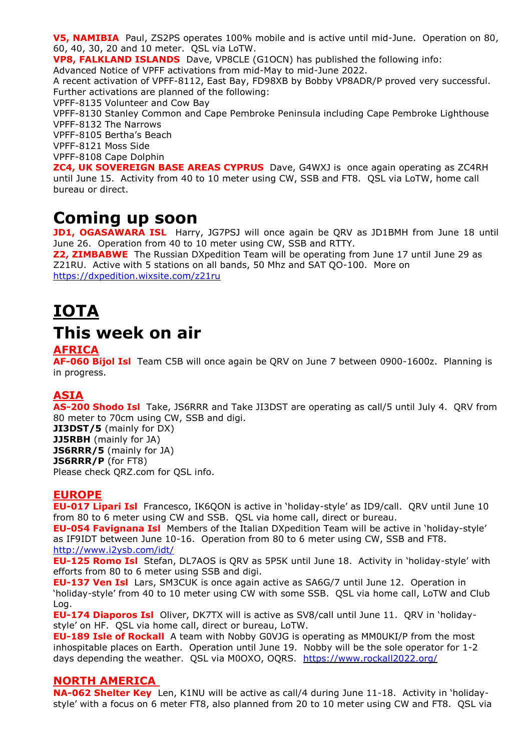**V5, NAMIBIA** Paul, ZS2PS operates 100% mobile and is active until mid-June. Operation on 80, 60, 40, 30, 20 and 10 meter. QSL via LoTW.

**VP8, FALKLAND ISLANDS** Dave, VP8CLE (G1OCN) has published the following info:

Advanced Notice of VPFF activations from mid-May to mid-June 2022.

A recent activation of VPFF-8112, East Bay, FD98XB by Bobby VP8ADR/P proved very successful. Further activations are planned of the following:

VPFF-8135 Volunteer and Cow Bay

VPFF-8130 Stanley Common and Cape Pembroke Peninsula including Cape Pembroke Lighthouse VPFF-8132 The Narrows

VPFF-8105 Bertha's Beach

VPFF-8121 Moss Side

VPFF-8108 Cape Dolphin

**ZC4, UK SOVEREIGN BASE AREAS CYPRUS** Dave, G4WXJ is once again operating as ZC4RH until June 15. Activity from 40 to 10 meter using CW, SSB and FT8. QSL via LoTW, home call bureau or direct.

# **Coming up soon**

**JD1, OGASAWARA ISL** Harry, JG7PSJ will once again be QRV as JD1BMH from June 18 until June 26. Operation from 40 to 10 meter using CW, SSB and RTTY.

**Z2, ZIMBABWE** The Russian DXpedition Team will be operating from June 17 until June 29 as Z21RU. Active with 5 stations on all bands, 50 Mhz and SAT QO-100. More on <https://dxpedition.wixsite.com/z21ru>

# **IOTA**

# **This week on air**

### **AFRICA**

**AF-060 Bijol Isl** Team C5B will once again be QRV on June 7 between 0900-1600z. Planning is in progress.

## **ASIA**

**AS-200 Shodo Isl** Take, JS6RRR and Take JI3DST are operating as call/5 until July 4. QRV from 80 meter to 70cm using CW, SSB and digi.

**JI3DST/5** (mainly for DX) **JJ5RBH** (mainly for JA) **JS6RRR/5** (mainly for JA) **JS6RRR/P** (for FT8) Please check QRZ.com for QSL info.

### **EUROPE**

**EU-017 Lipari Isl** Francesco, IK6QON is active in 'holiday-style' as ID9/call. QRV until June 10 from 80 to 6 meter using CW and SSB. QSL via home call, direct or bureau.

**EU-054 Favignana Isl** Members of the Italian DXpedition Team will be active in 'holiday-style' as IF9IDT between June 10-16. Operation from 80 to 6 meter using CW, SSB and FT8. <http://www.i2ysb.com/idt/>

**EU-125 Romo Isl** Stefan, DL7AOS is QRV as 5P5K until June 18. Activity in 'holiday-style' with efforts from 80 to 6 meter using SSB and digi.

**EU-137 Ven Isl** Lars, SM3CUK is once again active as SA6G/7 until June 12. Operation in 'holiday-style' from 40 to 10 meter using CW with some SSB. QSL via home call, LoTW and Club Log.

**EU-174 Diaporos Isl** Oliver, DK7TX will is active as SV8/call until June 11. QRV in 'holidaystyle' on HF. QSL via home call, direct or bureau, LoTW.

**EU-189 Isle of Rockall** A team with Nobby G0VJG is operating as MM0UKI/P from the most inhospitable places on Earth. Operation until June 19. Nobby will be the sole operator for 1-2 days depending the weather. QSL via M0OXO, OQRS. <https://www.rockall2022.org/>

#### **NORTH AMERICA**

**NA-062 Shelter Key** Len, K1NU will be active as call/4 during June 11-18. Activity in 'holidaystyle' with a focus on 6 meter FT8, also planned from 20 to 10 meter using CW and FT8. QSL via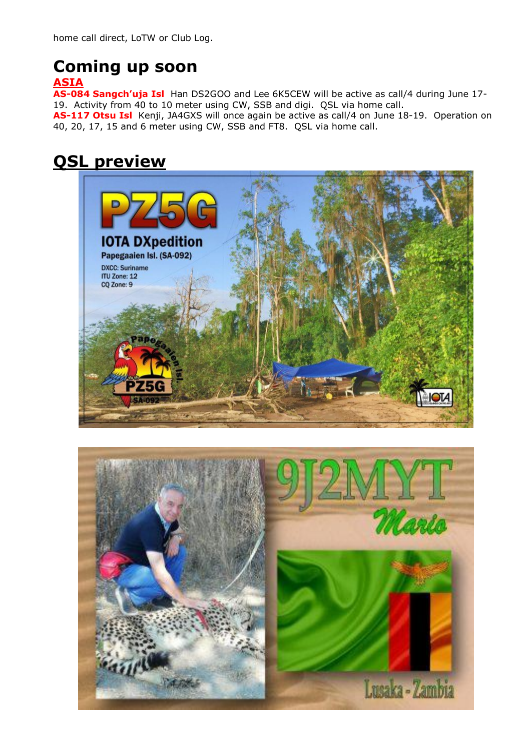# **Coming up soon**

## **ASIA**

**AS-084 Sangch'uja Isl** Han DS2GOO and Lee 6K5CEW will be active as call/4 during June 17- 19. Activity from 40 to 10 meter using CW, SSB and digi. QSL via home call.

**AS-117 Otsu Isl** Kenji, JA4GXS will once again be active as call/4 on June 18-19. Operation on 40, 20, 17, 15 and 6 meter using CW, SSB and FT8. QSL via home call.

# **QSL preview**



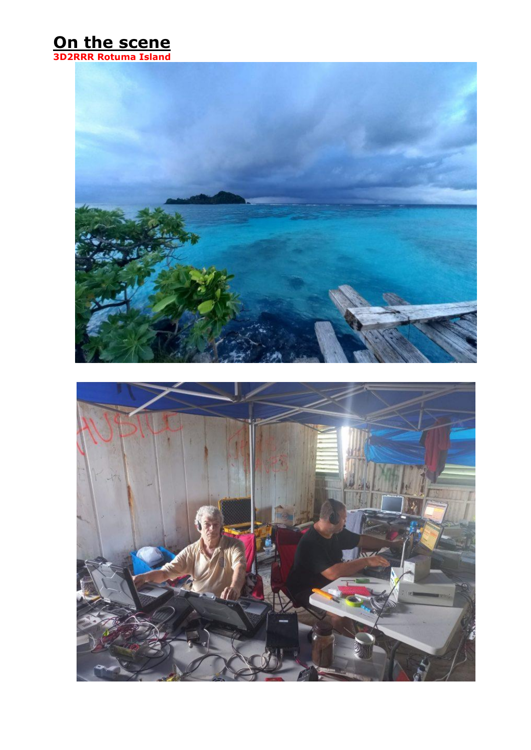## **On the scene 3D2RRR Rotuma Island**



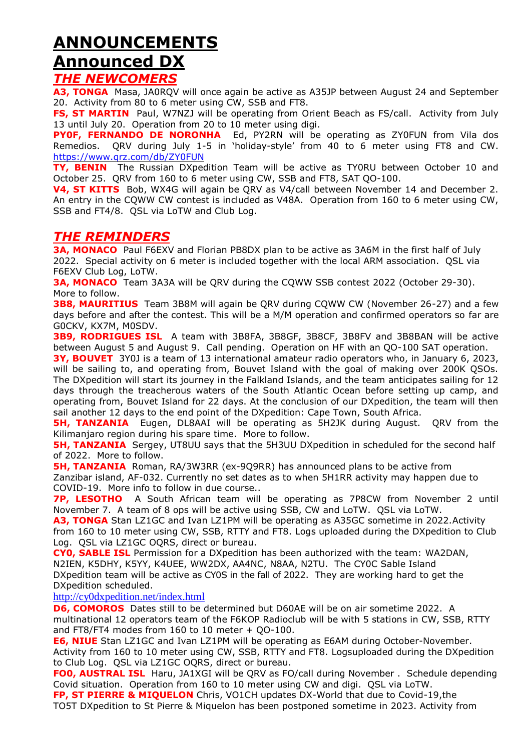# **ANNOUNCEMENTS Announced DX**

## *THE NEWCOMERS*

**A3, TONGA** Masa, JA0RQV will once again be active as A35JP between August 24 and September 20. Activity from 80 to 6 meter using CW, SSB and FT8.

**FS, ST MARTIN** Paul, W7NZJ will be operating from Orient Beach as FS/call. Activity from July 13 until July 20. Operation from 20 to 10 meter using digi.

**PY0F, FERNANDO DE NORONHA** Ed, PY2RN will be operating as ZY0FUN from Vila dos Remedios. QRV during July 1-5 in 'holiday-style' from 40 to 6 meter using FT8 and CW. <https://www.qrz.com/db/ZY0FUN>

**TY, BENIN** The Russian DXpedition Team will be active as TY0RU between October 10 and October 25. QRV from 160 to 6 meter using CW, SSB and FT8, SAT QO-100.

**V4, ST KITTS** Bob, WX4G will again be QRV as V4/call between November 14 and December 2. An entry in the CQWW CW contest is included as V48A. Operation from 160 to 6 meter using CW, SSB and FT4/8. QSL via LoTW and Club Log.

## *THE REMINDERS*

**3A, MONACO** Paul F6EXV and Florian PB8DX plan to be active as 3A6M in the first half of July 2022. Special activity on 6 meter is included together with the local ARM association. QSL via F6EXV Club Log, LoTW.

**3A, MONACO** Team 3A3A will be QRV during the CQWW SSB contest 2022 (October 29-30). More to follow.

**3B8, MAURITIUS** Team 3B8M will again be QRV during CQWW CW (November 26-27) and a few days before and after the contest. This will be a M/M operation and confirmed operators so far are G0CKV, KX7M, M0SDV.

**3B9, RODRIGUES ISL** A team with 3B8FA, 3B8GF, 3B8CF, 3B8FV and 3B8BAN will be active between August 5 and August 9. Call pending. Operation on HF with an QO-100 SAT operation.

**3Y, BOUVET** 3Y0J is a team of 13 international amateur radio operators who, in January 6, 2023, will be sailing to, and operating from, Bouvet Island with the goal of making over 200K QSOs. The DXpedition will start its journey in the Falkland Islands, and the team anticipates sailing for 12 days through the treacherous waters of the South Atlantic Ocean before setting up camp, and operating from, Bouvet Island for 22 days. At the conclusion of our DXpedition, the team will then sail another 12 days to the end point of the DXpedition: Cape Town, South Africa.

**5H, TANZANIA** Eugen, DL8AAI will be operating as 5H2JK during August. QRV from the Kilimanjaro region during his spare time. More to follow.

**5H, TANZANIA** Sergey, UT8UU says that the 5H3UU DXpedition in scheduled for the second half of 2022. More to follow.

**5H, TANZANIA** Roman, RA/3W3RR (ex-9Q9RR) has announced plans to be active from Zanzibar island, AF-032. Currently no set dates as to when 5H1RR activity may happen due to COVID-19. More info to follow in due course..

**7P, LESOTHO** A South African team will be operating as 7P8CW from November 2 until November 7. A team of 8 ops will be active using SSB, CW and LoTW. QSL via LoTW.

A3, TONGA Stan LZ1GC and Ivan LZ1PM will be operating as A35GC sometime in 2022. Activity from 160 to 10 meter using CW, SSB, RTTY and FT8. Logs uploaded during the DXpedition to Club Log. QSL via LZ1GC OQRS, direct or bureau.

**CY0, SABLE ISL** Permission for a DXpedition has been authorized with the team: WA2DAN, N2IEN, K5DHY, K5YY, K4UEE, WW2DX, AA4NC, N8AA, N2TU. The CY0C Sable Island DXpedition team will be active as CY0S in the fall of 2022. They are working hard to get the DXpedition scheduled.

#### <http://cy0dxpedition.net/index.html>

**D6, COMOROS** Dates still to be determined but D60AE will be on air sometime 2022. A multinational 12 operators team of the F6KOP Radioclub will be with 5 stations in CW, SSB, RTTY and FT8/FT4 modes from  $160$  to  $10$  meter + QO-100.

**E6, NIUE** Stan LZ1GC and Ivan LZ1PM will be operating as E6AM during October-November. Activity from 160 to 10 meter using CW, SSB, RTTY and FT8. Logsuploaded during the DXpedition to Club Log. QSL via LZ1GC OQRS, direct or bureau.

**FO0, AUSTRAL ISL** Haru, JA1XGI will be QRV as FO/call during November . Schedule depending Covid situation. Operation from 160 to 10 meter using CW and digi. QSL via LoTW.

**FP, ST PIERRE & MIQUELON** Chris, VO1CH updates DX-World that due to Covid-19,the TO5T DXpedition to St Pierre & Miquelon has been postponed sometime in 2023. Activity from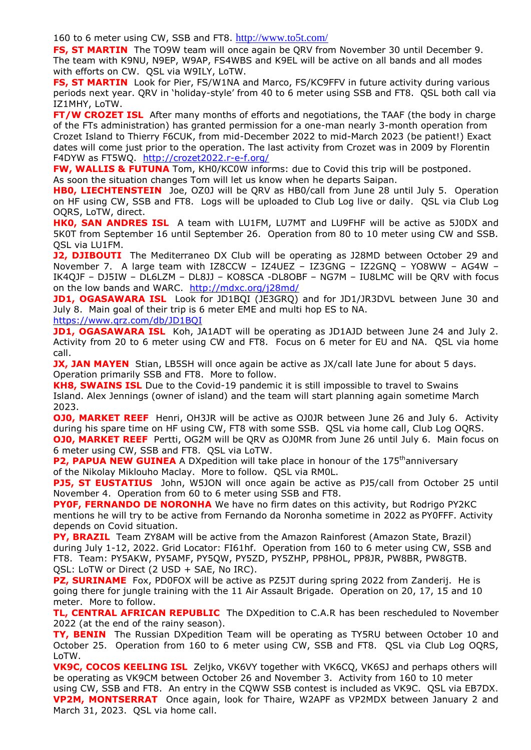160 to 6 meter using CW, SSB and FT8. <http://www.to5t.com/>

**FS, ST MARTIN** The TO9W team will once again be QRV from November 30 until December 9. The team with K9NU, N9EP, W9AP, FS4WBS and K9EL will be active on all bands and all modes with efforts on CW. QSL via W9ILY, LoTW.

FS, ST MARTIN Look for Pier, FS/W1NA and Marco, FS/KC9FFV in future activity during various periods next year. QRV in 'holiday-style' from 40 to 6 meter using SSB and FT8. QSL both call via IZ1MHY, LoTW.

**FT/W CROZET ISL** After many months of efforts and negotiations, the TAAF (the body in charge of the FTs administration) has granted permission for a one-man nearly 3-month operation from Crozet Island to Thierry F6CUK, from mid-December 2022 to mid-March 2023 (be patient!) Exact dates will come just prior to the operation. The last activity from Crozet was in 2009 by Florentin F4DYW as FT5WQ. <http://crozet2022.r-e-f.org/>

FW, WALLIS & FUTUNA Tom, KH0/KC0W informs: due to Covid this trip will be postponed.

As soon the situation changes Tom will let us know when he departs Saipan.

**HB0, LIECHTENSTEIN** Joe, OZ0J will be QRV as HB0/call from June 28 until July 5. Operation on HF using CW, SSB and FT8. Logs will be uploaded to Club Log live or daily. QSL via Club Log OQRS, LoTW, direct.

**HK0, SAN ANDRES ISL** A team with LU1FM, LU7MT and LU9FHF will be active as 5J0DX and 5K0T from September 16 until September 26. Operation from 80 to 10 meter using CW and SSB. QSL via LU1FM.

**J2, DJIBOUTI** The Mediterraneo DX Club will be operating as J28MD between October 29 and November 7. A large team with IZ8CCW – IZ4UEZ – IZ3GNG – IZ2GNQ – YO8WW – AG4W – IK4QJF – DJ5IW – DL6LZM – DL8JJ – KO8SCA -DL8OBF – NG7M – IU8LMC will be QRV with focus on the low bands and WARC. <http://mdxc.org/j28md/>

**JD1, OGASAWARA ISL** Look for JD1BOI (JE3GRO) and for JD1/JR3DVL between June 30 and July 8. Main goal of their trip is 6 meter EME and multi hop ES to NA.

<https://www.qrz.com/db/JD1BQI>

**JD1, OGASAWARA ISL** Koh, JA1ADT will be operating as JD1AJD between June 24 and July 2. Activity from 20 to 6 meter using CW and FT8. Focus on 6 meter for EU and NA. QSL via home call.

**JX, JAN MAYEN** Stian, LB5SH will once again be active as JX/call late June for about 5 days. Operation primarily SSB and FT8. More to follow.

**KH8, SWAINS ISL** Due to the Covid-19 pandemic it is still impossible to travel to Swains Island. Alex Jennings (owner of island) and the team will start planning again sometime March 2023.

**OJ0, MARKET REEF** Henri, OH3JR will be active as OJ0JR between June 26 and July 6. Activity during his spare time on HF using CW, FT8 with some SSB. QSL via home call, Club Log OQRS. **OJ0, MARKET REEF** Pertti, OG2M will be QRV as OJ0MR from June 26 until July 6. Main focus on 6 meter using CW, SSB and FT8. QSL via LoTW.

**P2, PAPUA NEW GUINEA** A DXpedition will take place in honour of the 175<sup>th</sup>anniversary of the Nikolay Miklouho Maclay. More to follow. QSL via RM0L.

**PJ5, ST EUSTATIUS** John, W5JON will once again be active as PJ5/call from October 25 until November 4. Operation from 60 to 6 meter using SSB and FT8.

**PY0F, FERNANDO DE NORONHA** We have no firm dates on this activity, but Rodrigo PY2KC mentions he will try to be active from Fernando da Noronha sometime in 2022 as PY0FFF. Activity depends on Covid situation.

**PY, BRAZIL**Team ZY8AM will be active from the Amazon Rainforest (Amazon State, Brazil) during July 1-12, 2022. Grid Locator: FI61hf. Operation from 160 to 6 meter using CW, SSB and FT8. Team: PY5AKW, PY5AMF, PY5QW, PY5ZD, PY5ZHP, PP8HOL, PP8JR, PW8BR, PW8GTB. QSL: LoTW or Direct (2 USD + SAE, No IRC).

**PZ, SURINAME** Fox, PD0FOX will be active as PZ5JT during spring 2022 from Zanderij. He is going there for jungle training with the 11 Air Assault Brigade. Operation on 20, 17, 15 and 10 meter. More to follow.

**TL, CENTRAL AFRICAN REPUBLIC** The DXpedition to C.A.R has been rescheduled to November 2022 (at the end of the rainy season).

**TY, BENIN** The Russian DXpedition Team will be operating as TY5RU between October 10 and October 25. Operation from 160 to 6 meter using CW, SSB and FT8. QSL via Club Log OQRS, LoTW.

**VK9C, COCOS KEELING ISL** Zeljko, VK6VY together with VK6CQ, VK6SJ and perhaps others will be operating as VK9CM between October 26 and November 3. Activity from 160 to 10 meter using CW, SSB and FT8. An entry in the CQWW SSB contest is included as VK9C. QSL via EB7DX. **VP2M, MONTSERRAT** Once again, look for Thaire, W2APF as VP2MDX between January 2 and March 31, 2023. QSL via home call.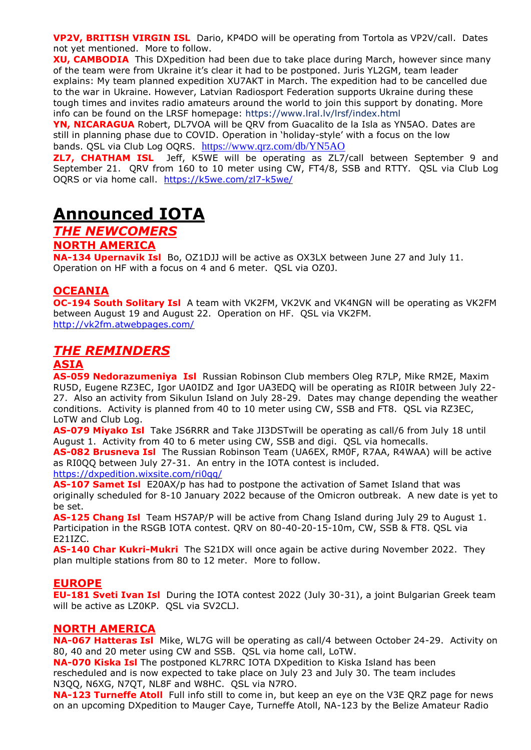**VP2V, BRITISH VIRGIN ISL** Dario, KP4DO will be operating from Tortola as VP2V/call. Dates not yet mentioned. More to follow.

**XU, CAMBODIA** This DXpedition had been due to take place during March, however since many of the team were from Ukraine it's clear it had to be postponed. Juris YL2GM, team leader explains: My team planned expedition XU7AKT in March. The expedition had to be cancelled due to the war in Ukraine. However, Latvian Radiosport Federation supports Ukraine during these tough times and invites radio amateurs around the world to join this support by donating. More info can be found on the LRSF homepage: <https://www.lral.lv/lrsf/index.html>

**YN, NICARAGUA** Robert, DL7VOA will be QRV from Guacalito de la Isla as YN5AO. Dates are still in planning phase due to COVID. Operation in 'holiday-style' with a focus on the low bands. QSL via Club Log OQRS. <https://www.qrz.com/db/YN5AO>

**ZL7, CHATHAM ISL** Jeff, K5WE will be operating as ZL7/call between September 9 and September 21. QRV from 160 to 10 meter using CW, FT4/8, SSB and RTTY. QSL via Club Log OQRS or via home call. <https://k5we.com/zl7-k5we/>

# **Announced IOTA**

## *THE NEWCOMERS*

#### **NORTH AMERICA**

**NA-134 Upernavik Isl** Bo, OZ1DJJ will be active as OX3LX between June 27 and July 11. Operation on HF with a focus on 4 and 6 meter. QSL via OZ0J.

#### **OCEANIA**

**OC-194 South Solitary Isl** A team with VK2FM, VK2VK and VK4NGN will be operating as VK2FM between August 19 and August 22. Operation on HF. QSL via VK2FM. <http://vk2fm.atwebpages.com/>

## *THE REMINDERS*

#### **ASIA**

**AS-059 Nedorazumeniya Isl** Russian Robinson Club members Oleg R7LP, Mike RM2E, Maxim RU5D, Eugene RZ3EC, Igor UA0IDZ and Igor UA3EDQ will be operating as RI0IR between July 22- 27. Also an activity from Sikulun Island on July 28-29. Dates may change depending the weather conditions. Activity is planned from 40 to 10 meter using CW, SSB and FT8. QSL via RZ3EC, LoTW and Club Log.

**AS-079 Miyako Isl** Take JS6RRR and Take JI3DSTwill be operating as call/6 from July 18 until August 1. Activity from 40 to 6 meter using CW, SSB and digi. QSL via homecalls.

**AS-082 Brusneva Isl** The Russian Robinson Team (UA6EX, RM0F, R7AA, R4WAA) will be active as RI0QQ between July 27-31. An entry in the IOTA contest is included.

<https://dxpedition.wixsite.com/ri0qq/>

**AS-107 Samet Isl** E20AX/p has had to postpone the activation of Samet Island that was originally scheduled for 8-10 January 2022 because of the Omicron outbreak. A new date is yet to be set.

**AS-125 Chang Isl** Team HS7AP/P will be active from Chang Island during July 29 to August 1. Participation in the RSGB IOTA contest. QRV on 80-40-20-15-10m, CW, SSB & FT8. QSL via E21IZC.

**AS-140 Char Kukri-Mukri** The S21DX will once again be active during November 2022. They plan multiple stations from 80 to 12 meter. More to follow.

#### **EUROPE**

**EU-181 Sveti Ivan Isl** During the IOTA contest 2022 (July 30-31), a joint Bulgarian Greek team will be active as LZ0KP. QSL via SV2CLJ.

#### **NORTH AMERICA**

**NA-067 Hatteras Isl** Mike, WL7G will be operating as call/4 between October 24-29. Activity on 80, 40 and 20 meter using CW and SSB. QSL via home call, LoTW.

**NA-070 Kiska Isl** The postponed KL7RRC IOTA DXpedition to Kiska Island has been rescheduled and is now expected to take place on July 23 and July 30. The team includes N3QQ, N6XG, N7QT, NL8F and W8HC. QSL via N7RO.

**NA-123 Turneffe Atoll** Full info still to come in, but keep an eye on the V3E QRZ page for news on an upcoming DXpedition to Mauger Caye, Turneffe Atoll, NA-123 by the Belize Amateur Radio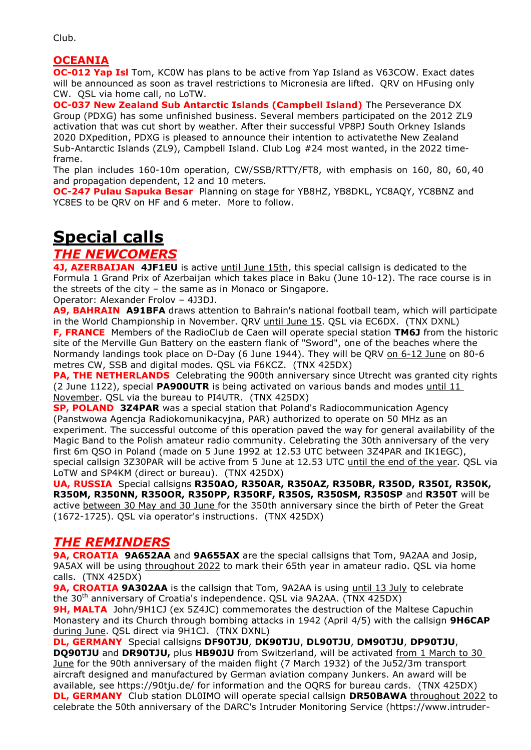## **OCEANIA**

**OC-012 Yap Isl** Tom, KC0W has plans to be active from Yap Island as V63COW. Exact dates will be announced as soon as travel restrictions to Micronesia are lifted. QRV on HFusing only CW. QSL via home call, no LoTW.

**OC-037 New Zealand Sub Antarctic Islands (Campbell Island)** The Perseverance DX Group (PDXG) has some unfinished business. Several members participated on the 2012 ZL9 activation that was cut short by weather. After their successful VP8PJ South Orkney Islands 2020 DXpedition, PDXG is pleased to announce their intention to activatethe New Zealand Sub-Antarctic Islands (ZL9), Campbell Island. Club Log #24 most wanted, in the 2022 timeframe.

The plan includes 160-10m operation, CW/SSB/RTTY/FT8, with emphasis on 160, 80, 60, 40 and propagation dependent, 12 and 10 meters.

**OC-247 Pulau Sapuka Besar** Planning on stage for YB8HZ, YB8DKL, YC8AQY, YC8BNZ and YC8ES to be QRV on HF and 6 meter. More to follow.

# **Special calls**

## *THE NEWCOMERS*

**4J, AZERBAIJAN 4JF1EU** is active until June 15th, this special callsign is dedicated to the Formula 1 Grand Prix of Azerbaijan which takes place in Baku (June 10-12). The race course is in the streets of the city – the same as in Monaco or Singapore.

Operator: Alexander Frolov – 4J3DJ.

**A9, BAHRAIN A91BFA** draws attention to Bahrain's national football team, which will participate in the World Championship in November. QRV until June 15. QSL via EC6DX. (TNX DXNL) **F, FRANCE** Members of the RadioClub de Caen will operate special station **TM6J** from the historic site of the Merville Gun Battery on the eastern flank of "Sword", one of the beaches where the Normandy landings took place on D-Day (6 June 1944). They will be QRV on 6-12 June on 80-6 metres CW, SSB and digital modes. QSL via F6KCZ. (TNX 425DX)

**PA, THE NETHERLANDS** Celebrating the 900th anniversary since Utrecht was granted city rights (2 June 1122), special **PA900UTR** is being activated on various bands and modes until 11 November. QSL via the bureau to PI4UTR. (TNX 425DX)

**SP, POLAND 3Z4PAR** was a special station that Poland's Radiocommunication Agency (Panstwowa Agencja Radiokomunikacyjna, PAR) authorized to operate on 50 MHz as an experiment. The successful outcome of this operation paved the way for general availability of the Magic Band to the Polish amateur radio community. Celebrating the 30th anniversary of the very first 6m QSO in Poland (made on 5 June 1992 at 12.53 UTC between 3Z4PAR and IK1EGC), special callsign 3Z30PAR will be active from 5 June at 12.53 UTC until the end of the year. QSL via LoTW and SP4KM (direct or bureau). (TNX 425DX)

**UA, RUSSIA** Special callsigns **R350AO, R350AR, R350AZ, R350BR, R350D, R350I, R350K, R350M, R350NN, R350OR, R350PP, R350RF, R350S, R350SM, R350SP** and **R350T** will be active between 30 May and 30 June for the 350th anniversary since the birth of Peter the Great (1672-1725). QSL via operator's instructions. (TNX 425DX)

## *THE REMINDERS*

**9A, CROATIA 9A652AA** and **9A655AX** are the special callsigns that Tom, 9A2AA and Josip, 9A5AX will be using throughout 2022 to mark their 65th year in amateur radio. QSL via home calls. (TNX 425DX)

**9A, CROATIA 9A302AA** is the callsign that Tom, 9A2AA is using until 13 July to celebrate the 30<sup>th</sup> anniversary of Croatia's independence. QSL via 9A2AA. (TNX 425DX)

**9H, MALTA** John/9H1CJ (ex 5Z4JC) commemorates the destruction of the Maltese Capuchin Monastery and its Church through bombing attacks in 1942 (April 4/5) with the callsign **9H6CAP** during June. QSL direct via 9H1CJ. (TNX DXNL)

**DL, GERMANY** Special callsigns **DF90TJU**, **DK90TJU**, **DL90TJU**, **DM90TJU**, **DP90TJU**, **DQ90TJU** and **DR90TJU,** plus **HB90JU** from Switzerland, will be activated from 1 March to 30 June for the 90th anniversary of the maiden flight (7 March 1932) of the Ju52/3m transport aircraft designed and manufactured by German aviation company Junkers. An award will be available, see https://90tju.de/ for information and the OQRS for bureau cards. (TNX 425DX) **DL, GERMANY** Club station DL0IMO will operate special callsign DR50BAWA throughout 2022 to celebrate the 50th anniversary of the DARC's Intruder Monitoring Service (https://www.intruder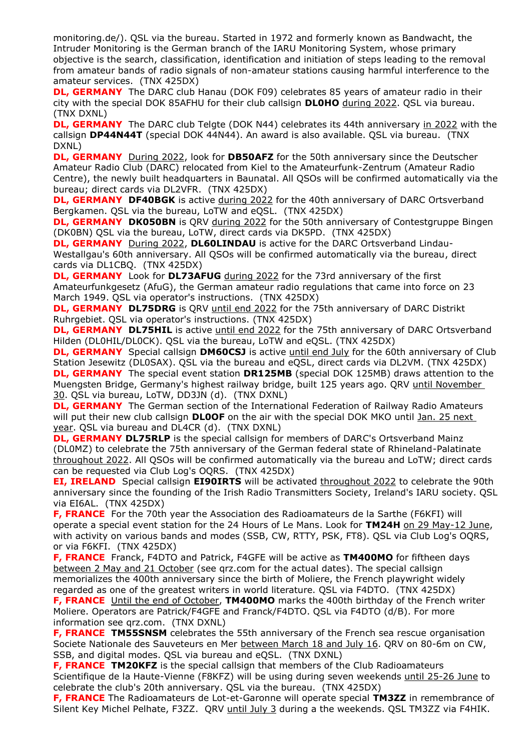monitoring.de/). QSL via the bureau. Started in 1972 and formerly known as Bandwacht, the Intruder Monitoring is the German branch of the IARU Monitoring System, whose primary objective is the search, classification, identification and initiation of steps leading to the removal from amateur bands of radio signals of non-amateur stations causing harmful interference to the amateur services. (TNX 425DX)

**DL, GERMANY** The DARC club Hanau (DOK F09) celebrates 85 years of amateur radio in their city with the special DOK 85AFHU for their club callsign **DL0HO** during 2022. QSL via bureau. (TNX DXNL)

**DL, GERMANY** The DARC club Telgte (DOK N44) celebrates its 44th anniversary in 2022 with the callsign **DP44N44T** (special DOK 44N44). An award is also available. QSL via bureau. (TNX DXNL)

**DL, GERMANY** During 2022, look for **DB50AFZ** for the 50th anniversary since the Deutscher Amateur Radio Club (DARC) relocated from Kiel to the Amateurfunk-Zentrum (Amateur Radio Centre), the newly built headquarters in Baunatal. All QSOs will be confirmed automatically via the bureau; direct cards via DL2VFR. (TNX 425DX)

**DL, GERMANY DF40BGK** is active during 2022 for the 40th anniversary of DARC Ortsverband Bergkamen. QSL via the bureau, LoTW and eQSL. (TNX 425DX)

**DL, GERMANY DK050BN** is QRV during 2022 for the 50th anniversary of Contestgruppe Bingen (DK0BN) QSL via the bureau, LoTW, direct cards via DK5PD. (TNX 425DX)

**DL, GERMANY** During 2022, **DL60LINDAU** is active for the DARC Ortsverband Lindau-Westallgau's 60th anniversary. All QSOs will be confirmed automatically via the bureau, direct cards via DL1CBQ. (TNX 425DX)

**DL, GERMANY** Look for **DL73AFUG** during 2022 for the 73rd anniversary of the first Amateurfunkgesetz (AfuG), the German amateur radio regulations that came into force on 23 March 1949. QSL via operator's instructions. (TNX 425DX)

**DL, GERMANY DL75DRG** is QRV until end 2022 for the 75th anniversary of DARC Distrikt Ruhrgebiet. QSL via operator's instructions. (TNX 425DX)

**DL, GERMANY DL75HIL** is active *until end 2022* for the 75th anniversary of DARC Ortsverband Hilden (DL0HIL/DL0CK). QSL via the bureau, LoTW and eQSL. (TNX 425DX)

**DL, GERMANY** Special callsign **DM60CSJ** is active until end July for the 60th anniversary of Club Station Jesewitz (DL0SAX). QSL via the bureau and eQSL, direct cards via DL2VM. (TNX 425DX) **DL, GERMANY** The special event station **DR125MB** (special DOK 125MB) draws attention to the Muengsten Bridge, Germany's highest railway bridge, built 125 years ago. QRV until November 30. QSL via bureau, LoTW, DD3JN (d). (TNX DXNL)

**DL, GERMANY** The German section of the International Federation of Railway Radio Amateurs will put their new club callsign **DL0OF** on the air with the special DOK MKO until Jan. 25 next year. QSL via bureau and DL4CR (d). (TNX DXNL)

**DL, GERMANY DL75RLP** is the special callsign for members of DARC's Ortsverband Mainz (DL0MZ) to celebrate the 75th anniversary of the German federal state of Rhineland-Palatinate throughout 2022. All QSOs will be confirmed automatically via the bureau and LoTW; direct cards can be requested via Club Log's OQRS. (TNX 425DX)

**EI, IRELAND**Special callsign **EI90IRTS** will be activated throughout 2022 to celebrate the 90th anniversary since the founding of the Irish Radio Transmitters Society, Ireland's IARU society. QSL via EI6AL. (TNX 425DX)

**F, FRANCE** For the 70th year the Association des Radioamateurs de la Sarthe (F6KFI) will operate a special event station for the 24 Hours of Le Mans. Look for **TM24H** on 29 May-12 June, with activity on various bands and modes (SSB, CW, RTTY, PSK, FT8). QSL via Club Log's OQRS, or via F6KFI. (TNX 425DX)

**F, FRANCE** Franck, F4DTO and Patrick, F4GFE will be active as **TM400MO** for fiftheen days between 2 May and 21 October (see qrz.com for the actual dates). The special callsign memorializes the 400th anniversary since the birth of Moliere, the French playwright widely regarded as one of the greatest writers in world literature. QSL via F4DTO. (TNX 425DX) **F, FRANCE** Until the end of October, **TM400MO** marks the 400th birthday of the French writer Moliere. Operators are Patrick/F4GFE and Franck/F4DTO. QSL via F4DTO (d/B). For more information see qrz.com. (TNX DXNL)

**F, FRANCE TM55SNSM** celebrates the 55th anniversary of the French sea rescue organisation Societe Nationale des Sauveteurs en Mer between March 18 and July 16. QRV on 80-6m on CW, SSB, and digital modes. QSL via bureau and eQSL. (TNX DXNL)

**F, FRANCE TM20KFZ** is the special callsign that members of the Club Radioamateurs Scientifique de la Haute-Vienne (F8KFZ) will be using during seven weekends until 25-26 June to celebrate the club's 20th anniversary. QSL via the bureau. (TNX 425DX)

**F, FRANCE** The Radioamateurs de Lot-et-Garonne will operate special **TM3ZZ** in remembrance of Silent Key Michel Pelhate, F3ZZ. QRV until July 3 during a the weekends. QSL TM3ZZ via F4HIK.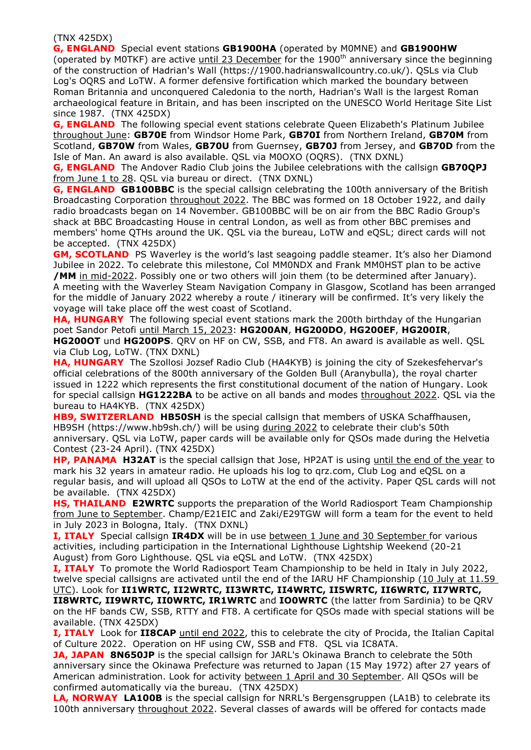#### (TNX 425DX)

**G, ENGLAND** Special event stations **GB1900HA** (operated by M0MNE) and **GB1900HW** (operated by M0TKF) are active until 23 December for the 1900<sup>th</sup> anniversary since the beginning of the construction of Hadrian's Wall (https://1900.hadrianswallcountry.co.uk/). QSLs via Club Log's OQRS and LoTW. A former defensive fortification which marked the boundary between Roman Britannia and unconquered Caledonia to the north, Hadrian's Wall is the largest Roman archaeological feature in Britain, and has been inscripted on the UNESCO World Heritage Site List since 1987. (TNX 425DX)

**G, ENGLAND** The following special event stations celebrate Queen Elizabeth's Platinum Jubilee throughout June: **GB70E** from Windsor Home Park, **GB70I** from Northern Ireland, **GB70M** from Scotland, **GB70W** from Wales, **GB70U** from Guernsey, **GB70J** from Jersey, and **GB70D** from the Isle of Man. An award is also available. QSL via M0OXO (OQRS). (TNX DXNL)

**G, ENGLAND** The Andover Radio Club joins the Jubilee celebrations with the callsign **GB70QPJ** from June 1 to 28. QSL via bureau or direct. (TNX DXNL)

**G, ENGLAND GB100BBC** is the special callsign celebrating the 100th anniversary of the British Broadcasting Corporation throughout 2022. The BBC was formed on 18 October 1922, and daily radio broadcasts began on 14 November. GB100BBC will be on air from the BBC Radio Group's shack at BBC Broadcasting House in central London, as well as from other BBC premises and members' home QTHs around the UK. QSL via the bureau, LoTW and eQSL; direct cards will not be accepted. (TNX 425DX)

**GM, SCOTLAND** PS Waverley is the world's last seagoing paddle steamer. It's also her Diamond Jubilee in 2022. To celebrate this milestone, Col MM0NDX and Frank MM0HST plan to be active **/MM** in mid-2022. Possibly one or two others will join them (to be determined after January). A meeting with the Waverley Steam Navigation Company in Glasgow, Scotland has been arranged for the middle of January 2022 whereby a route / itinerary will be confirmed. It's very likely the voyage will take place off the west coast of Scotland.

**HA, HUNGARY** The following special event stations mark the 200th birthday of the Hungarian poet Sandor Petofi until March 15, 2023: **HG200AN**, **HG200DO**, **HG200EF**, **HG200IR**, **HG200OT** und **HG200PS**. QRV on HF on CW, SSB, and FT8. An award is available as well. QSL via Club Log, LoTW. (TNX DXNL)

**HA, HUNGARY** The Szollosi Jozsef Radio Club (HA4KYB) is joining the city of Szekesfehervar's official celebrations of the 800th anniversary of the Golden Bull (Aranybulla), the royal charter issued in 1222 which represents the first constitutional document of the nation of Hungary. Look for special callsign **HG1222BA** to be active on all bands and modes throughout 2022. QSL via the bureau to HA4KYB. (TNX 425DX)

**HB9, SWITZERLAND HB50SH** is the special callsign that members of USKA Schaffhausen, HB9SH (https://www.hb9sh.ch/) will be using during 2022 to celebrate their club's 50th anniversary. QSL via LoTW, paper cards will be available only for QSOs made during the Helvetia Contest (23-24 April). (TNX 425DX)

**HP, PANAMA H32AT** is the special callsign that Jose, HP2AT is using until the end of the year to mark his 32 years in amateur radio. He uploads his log to qrz.com, Club Log and eQSL on a regular basis, and will upload all QSOs to LoTW at the end of the activity. Paper QSL cards will not be available. (TNX 425DX)

**HS, THAILAND E2WRTC** supports the preparation of the World Radiosport Team Championship from June to September. Champ/E21EIC and Zaki/E29TGW will form a team for the event to held in July 2023 in Bologna, Italy. (TNX DXNL)

**I, ITALY** Special callsign **IR4DX** will be in use between 1 June and 30 September for various activities, including participation in the International Lighthouse Lightship Weekend (20-21 August) from Goro Lighthouse. QSL via eQSL and LoTW. (TNX 425DX)

**I, ITALY** To promote the World Radiosport Team Championship to be held in Italy in July 2022, twelve special callsigns are activated until the end of the IARU HF Championship (10 July at 11.59 UTC). Look for **II1WRTC, II2WRTC, II3WRTC, II4WRTC, II5WRTC, II6WRTC, II7WRTC, II8WRTC, II9WRTC, II0WRTC, IR1WRTC** and **IO0WRTC** (the latter from Sardinia) to be QRV on the HF bands CW, SSB, RTTY and FT8. A certificate for QSOs made with special stations will be

available. (TNX 425DX) **I, ITALY** Look for **II8CAP** until end 2022, this to celebrate the city of Procida, the Italian Capital of Culture 2022. Operation on HF using CW, SSB and FT8. QSL via IC8ATA.

**JA, JAPAN 8N650JP** is the special callsign for JARL's Okinawa Branch to celebrate the 50th anniversary since the Okinawa Prefecture was returned to Japan (15 May 1972) after 27 years of American administration. Look for activity between 1 April and 30 September. All QSOs will be confirmed automatically via the bureau. (TNX 425DX)

**LA, NORWAY LA100B** is the special callsign for NRRL's Bergensgruppen (LA1B) to celebrate its 100th anniversary throughout 2022. Several classes of awards will be offered for contacts made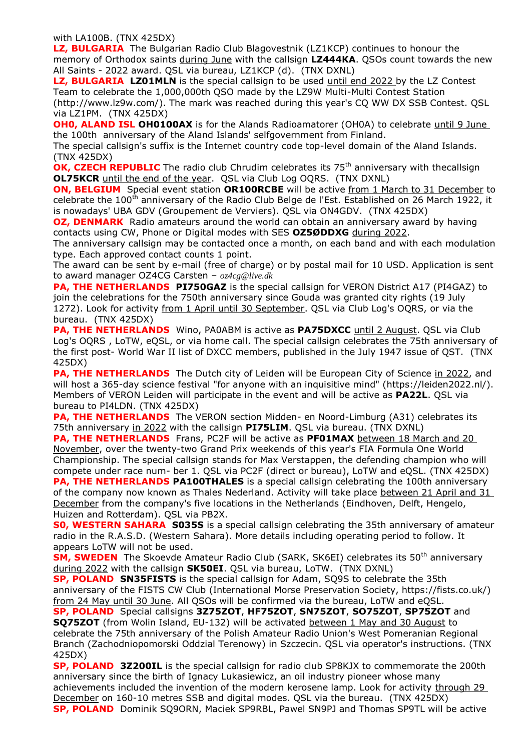with LA100B. (TNX 425DX)

**LZ, BULGARIA** The Bulgarian Radio Club Blagovestnik (LZ1KCP) continues to honour the memory of Orthodox saints during June with the callsign **LZ444KA**. QSOs count towards the new All Saints - 2022 award. QSL via bureau, LZ1KCP (d). (TNX DXNL)

LZ, BULGARIA LZ01MLN is the special callsign to be used until end 2022 by the LZ Contest Team to celebrate the 1,000,000th QSO made by the LZ9W Multi-Multi Contest Station (http://www.lz9w.com/). The mark was reached during this year's CQ WW DX SSB Contest. QSL via LZ1PM. (TNX 425DX)

**OH0, ALAND ISL OH0100AX** is for the Alands Radioamatorer (OH0A) to celebrate until 9 June the 100th anniversary of the Aland Islands' selfgovernment from Finland.

The special callsign's suffix is the Internet country code top-level domain of the Aland Islands. (TNX 425DX)

**OK, CZECH REPUBLIC** The radio club Chrudim celebrates its 75<sup>th</sup> anniversary with thecallsign **OL75KCR** until the end of the year. QSL via Club Log OQRS. (TNX DXNL)

**ON, BELGIUM** Special event station **OR100RCBE** will be active from 1 March to 31 December to celebrate the 100<sup>th</sup> anniversary of the Radio Club Belge de l'Est. Established on 26 March 1922, it is nowadays' UBA GDV (Groupement de Verviers). QSL via ON4GDV. (TNX 425DX)

**OZ, DENMARK** Radio amateurs around the world can obtain an anniversary award by having contacts using CW, Phone or Digital modes with SES **OZ5ØDDXG** during 2022.

The anniversary callsign may be contacted once a month, on each band and with each modulation type. Each approved contact counts 1 point.

The award can be sent by e-mail (free of charge) or by postal mail for 10 USD. Application is sent to award manager OZ4CG Carsten – *oz4cg@live.dk*

**PA, THE NETHERLANDS PI750GAZ** is the special callsign for VERON District A17 (PI4GAZ) to join the celebrations for the 750th anniversary since Gouda was granted city rights (19 July 1272). Look for activity from 1 April until 30 September. QSL via Club Log's OQRS, or via the bureau. (TNX 425DX)

**PA, THE NETHERLANDS** Wino, PA0ABM is active as **PA75DXCC** until 2 August. QSL via Club Log's OQRS , LoTW, eQSL, or via home call. The special callsign celebrates the 75th anniversary of the first post- World War II list of DXCC members, published in the July 1947 issue of QST. (TNX 425DX)

**PA, THE NETHERLANDS** The Dutch city of Leiden will be European City of Science in 2022, and will host a 365-day science festival "for anyone with an inquisitive mind" (https://leiden2022.nl/). Members of VERON Leiden will participate in the event and will be active as **PA22L**. QSL via bureau to PI4LDN. (TNX 425DX)

**PA, THE NETHERLANDS** The VERON section Midden- en Noord-Limburg (A31) celebrates its 75th anniversary in 2022 with the callsign **PI75LIM**. QSL via bureau. (TNX DXNL)

**PA, THE NETHERLANDS** Frans, PC2F will be active as **PF01MAX** between 18 March and 20 November, over the twenty-two Grand Prix weekends of this year's FIA Formula One World Championship. The special callsign stands for Max Verstappen, the defending champion who will compete under race num- ber 1. QSL via PC2F (direct or bureau), LoTW and eQSL. (TNX 425DX)

**PA, THE NETHERLANDS PA100THALES** is a special callsign celebrating the 100th anniversary of the company now known as Thales Nederland. Activity will take place between 21 April and 31 December from the company's five locations in the Netherlands (Eindhoven, Delft, Hengelo, Huizen and Rotterdam). QSL via PB2X.

**S0, WESTERN SAHARA S035S** is a special callsign celebrating the 35th anniversary of amateur radio in the R.A.S.D. (Western Sahara). More details including operating period to follow. It appears LoTW will not be used.

**SM, SWEDEN** The Skoevde Amateur Radio Club (SARK, SK6EI) celebrates its 50<sup>th</sup> anniversary during 2022 with the callsign **SK50EI**. QSL via bureau, LoTW. (TNX DXNL)

**SP, POLAND SN35FISTS** is the special callsign for Adam, SQ9S to celebrate the 35th anniversary of the FISTS CW Club (International Morse Preservation Society, https://fists.co.uk/) from 24 May until 30 June. All QSOs will be confirmed via the bureau, LoTW and eQSL.

**SP, POLAND** Special callsigns **3Z75ZOT**, **HF75ZOT**, **SN75ZOT**, **SO75ZOT**, **SP75ZOT** and **SQ75ZOT** (from Wolin Island, EU-132) will be activated between 1 May and 30 August to celebrate the 75th anniversary of the Polish Amateur Radio Union's West Pomeranian Regional Branch (Zachodniopomorski Oddzial Terenowy) in Szczecin. QSL via operator's instructions. (TNX 425DX)

**SP, POLAND 3Z200IL** is the special callsign for radio club SP8KJX to commemorate the 200th anniversary since the birth of Ignacy Lukasiewicz, an oil industry pioneer whose many achievements included the invention of the modern kerosene lamp. Look for activity through 29 December on 160-10 metres SSB and digital modes. QSL via the bureau. (TNX 425DX) **SP, POLAND** Dominik SQ9ORN, Maciek SP9RBL, Pawel SN9PJ and Thomas SP9TL will be active